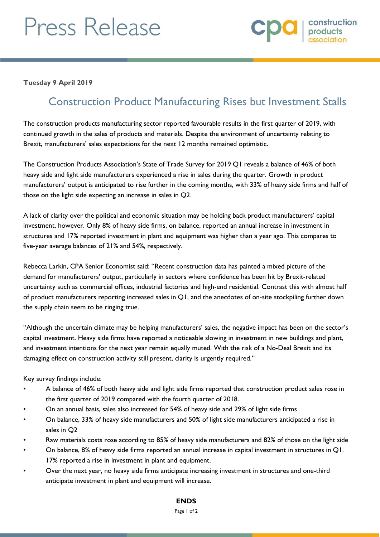# Press Release



**Tuesday 9 April 2019**

# Construction Product Manufacturing Rises but Investment Stalls

The construction products manufacturing sector reported favourable results in the first quarter of 2019, with continued growth in the sales of products and materials. Despite the environment of uncertainty relating to Brexit, manufacturers' sales expectations for the next 12 months remained optimistic.

The Construction Products Association's State of Trade Survey for 2019 Q1 reveals a balance of 46% of both heavy side and light side manufacturers experienced a rise in sales during the quarter. Growth in product manufacturers' output is anticipated to rise further in the coming months, with 33% of heavy side firms and half of those on the light side expecting an increase in sales in Q2.

A lack of clarity over the political and economic situation may be holding back product manufacturers' capital investment, however. Only 8% of heavy side firms, on balance, reported an annual increase in investment in structures and 17% reported investment in plant and equipment was higher than a year ago. This compares to five-year average balances of 21% and 54%, respectively.

Rebecca Larkin, CPA Senior Economist said: "Recent construction data has painted a mixed picture of the demand for manufacturers' output, particularly in sectors where confidence has been hit by Brexit-related uncertainty such as commercial offices, industrial factories and high-end residential. Contrast this with almost half of product manufacturers reporting increased sales in Q1, and the anecdotes of on-site stockpiling further down the supply chain seem to be ringing true.

"Although the uncertain climate may be helping manufacturers' sales, the negative impact has been on the sector's capital investment. Heavy side firms have reported a noticeable slowing in investment in new buildings and plant, and investment intentions for the next year remain equally muted. With the risk of a No-Deal Brexit and its damaging effect on construction activity still present, clarity is urgently required."

Key survey findings include:

- A balance of 46% of both heavy side and light side firms reported that construction product sales rose in the first quarter of 2019 compared with the fourth quarter of 2018.
- On an annual basis, sales also increased for 54% of heavy side and 29% of light side firms
- On balance, 33% of heavy side manufacturers and 50% of light side manufacturers anticipated a rise in sales in Q2
- Raw materials costs rose according to 85% of heavy side manufacturers and 82% of those on the light side
- On balance, 8% of heavy side firms reported an annual increase in capital investment in structures in Q1. 17% reported a rise in investment in plant and equipment.
- Over the next year, no heavy side firms anticipate increasing investment in structures and one-third anticipate investment in plant and equipment will increase.

**ENDS**

#### Page 1 of 2